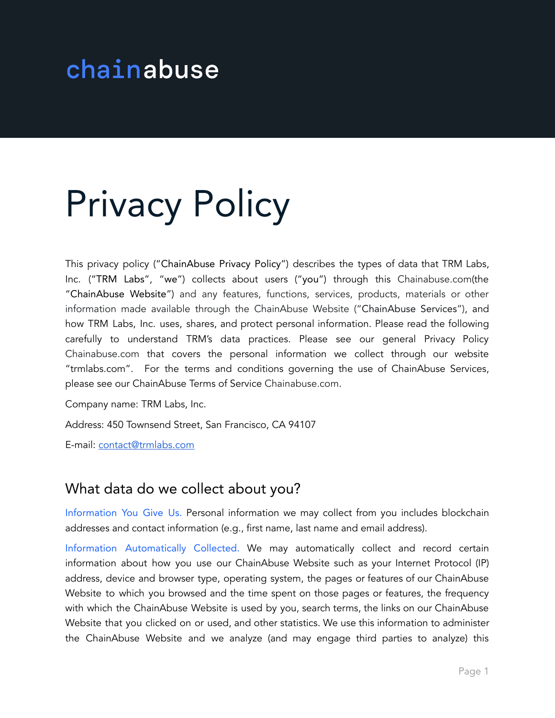# chainabuse

# Privacy Policy

This privacy policy ("ChainAbuse Privacy Policy") describes the types of data that TRM Labs, Inc. ("TRM Labs", "we") collects about users ("you") through this Chainabuse.com(the "ChainAbuse Website") and any features, functions, services, products, materials or other information made available through the ChainAbuse Website ("ChainAbuse Services"), and how TRM Labs, Inc. uses, shares, and protect personal information. Please read the following carefully to understand TRM's data practices. Please see our general Privacy Policy Chainabuse.com that covers the personal information we collect through our website "trmlabs.com". For the terms and conditions governing the use of ChainAbuse Services, please see our ChainAbuse Terms of Service Chainabuse.com.

Company name: TRM Labs, Inc.

Address: 450 Townsend Street, San Francisco, CA 94107

E-mail: [contact@trmlabs.com](mailto:contact@trmlabs.com)

#### What data do we collect about you?

Information You Give Us. Personal information we may collect from you includes blockchain addresses and contact information (e.g., first name, last name and email address).

Information Automatically Collected. We may automatically collect and record certain information about how you use our ChainAbuse Website such as your Internet Protocol (IP) address, device and browser type, operating system, the pages or features of our ChainAbuse Website to which you browsed and the time spent on those pages or features, the frequency with which the ChainAbuse Website is used by you, search terms, the links on our ChainAbuse Website that you clicked on or used, and other statistics. We use this information to administer the ChainAbuse Website and we analyze (and may engage third parties to analyze) this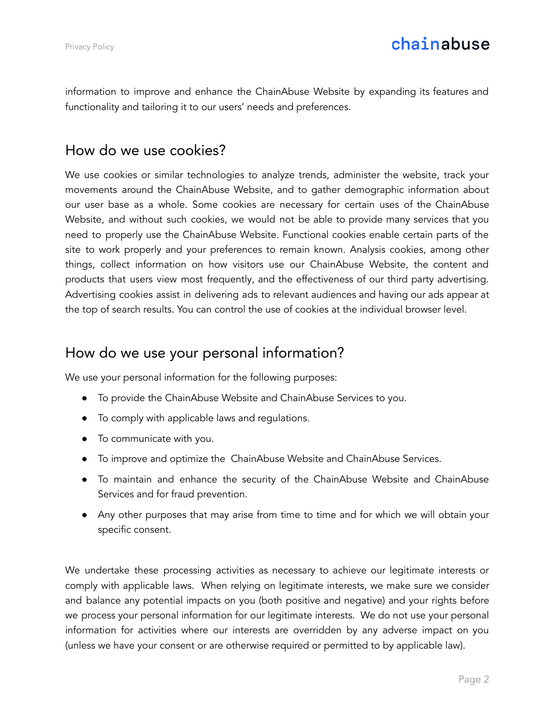information to improve and enhance the ChainAbuse Website by expanding its features and functionality and tailoring it to our users' needs and preferences.

#### How do we use cookies?

We use cookies or similar technologies to analyze trends, administer the website, track your movements around the ChainAbuse Website, and to gather demographic information about our user base as a whole. Some cookies are necessary for certain uses of the ChainAbuse Website, and without such cookies, we would not be able to provide many services that you need to properly use the ChainAbuse Website. Functional cookies enable certain parts of the site to work properly and your preferences to remain known. Analysis cookies, among other things, collect information on how visitors use our ChainAbuse Website, the content and products that users view most frequently, and the effectiveness of our third party advertising. Advertising cookies assist in delivering ads to relevant audiences and having our ads appear at the top of search results. You can control the use of cookies at the individual browser level.

#### How do we use your personal information?

We use your personal information for the following purposes:

- To provide the ChainAbuse Website and ChainAbuse Services to you.
- To comply with applicable laws and regulations.
- To communicate with you.
- To improve and optimize the ChainAbuse Website and ChainAbuse Services.
- To maintain and enhance the security of the ChainAbuse Website and ChainAbuse Services and for fraud prevention.
- Any other purposes that may arise from time to time and for which we will obtain your specific consent.

We undertake these processing activities as necessary to achieve our legitimate interests or comply with applicable laws. When relying on legitimate interests, we make sure we consider and balance any potential impacts on you (both positive and negative) and your rights before we process your personal information for our legitimate interests. We do not use your personal information for activities where our interests are overridden by any adverse impact on you (unless we have your consent or are otherwise required or permitted to by applicable law).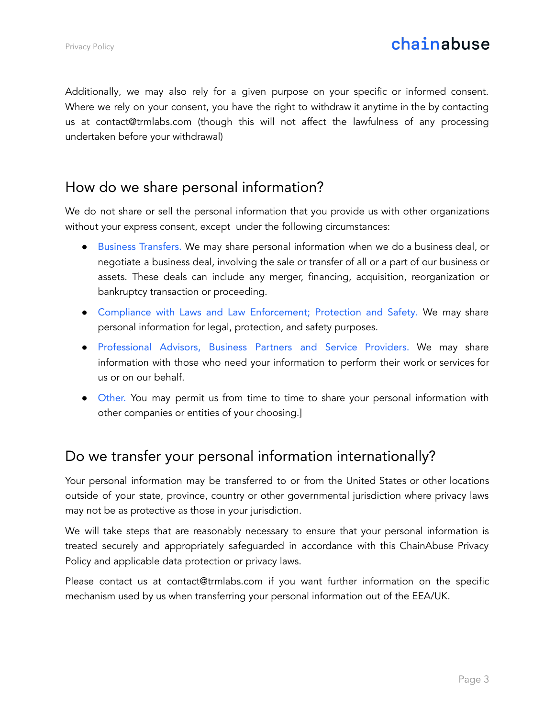Additionally, we may also rely for a given purpose on your specific or informed consent. Where we rely on your consent, you have the right to withdraw it anytime in the by contacting us at contact@trmlabs.com (though this will not affect the lawfulness of any processing undertaken before your withdrawal)

### How do we share personal information?

We do not share or sell the personal information that you provide us with other organizations without your express consent, except under the following circumstances:

- Business Transfers. We may share personal information when we do a business deal, or negotiate a business deal, involving the sale or transfer of all or a part of our business or assets. These deals can include any merger, financing, acquisition, reorganization or bankruptcy transaction or proceeding.
- Compliance with Laws and Law Enforcement; Protection and Safety. We may share personal information for legal, protection, and safety purposes.
- Professional Advisors, Business Partners and Service Providers. We may share information with those who need your information to perform their work or services for us or on our behalf.
- Other. You may permit us from time to time to share your personal information with other companies or entities of your choosing.]

# Do we transfer your personal information internationally?

Your personal information may be transferred to or from the United States or other locations outside of your state, province, country or other governmental jurisdiction where privacy laws may not be as protective as those in your jurisdiction.

We will take steps that are reasonably necessary to ensure that your personal information is treated securely and appropriately safeguarded in accordance with this ChainAbuse Privacy Policy and applicable data protection or privacy laws.

Please contact us at contact@trmlabs.com if you want further information on the specific mechanism used by us when transferring your personal information out of the EEA/UK.